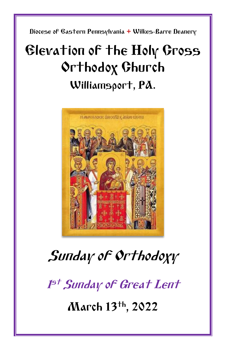Diocese of Eastern Pennsylvania **+** Wilkes-Barre Deanery

# Elevation of the Holy Cross Orthodox Church Williamsport, PA.



# Sunday of Orthodoxy

1<sup>st</sup> Sunday of Great Lent

March 13th, 2022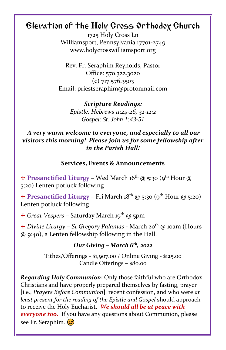## Elevation of the Holy Cross Orthodox Church

1725 Holy Cross Ln Williamsport, Pennsylvania 17701-2749 www.holycrosswilliamsport.org

Rev. Fr. Seraphim Reynolds, Pastor Office: 570.322.3020 (c) 717.576.3503 Email: priestseraphim@protonmail.com

> *Scripture Readings: Epistle: Hebrews 11:24-26, 32-12:2 Gospel: St. John 1:43-51*

### *A very warm welcome to everyone, and especially to all our visitors this morning! Please join us for some fellowship after in the Parish Hall!*

### **Services, Events & Announcements**

+ Presanctified Liturgy - Wed March 16<sup>th</sup> @ 5:30 (9<sup>th</sup> Hour @ 5:20) Lenten potluck following

+ Presanctified Liturgy - Fri March 18<sup>th</sup> @ 5:30 (9<sup>th</sup> Hour @ 5:20) Lenten potluck following

+ *Great Vespers* - Saturday March 19<sup>th</sup> @ 5pm

+ *Divine Liturgy* – *St Gregory Palamas -* March 20th @ 10am (Hours @ 9:40), a Lenten fellowship following in the Hall.

#### *Our Giving – March 6 th, 2022*

Tithes/Offerings - \$1,907.00 / Online Giving - \$125.00 Candle Offerings – \$80.00

*Regarding Holy Communion***:** Only those faithful who are Orthodox Christians and have properly prepared themselves by fasting, prayer [i.e., *Prayers Before Communion*], recent confession, and who were *at least present for the reading of the Epistle and Gospel* should approach to receive the Holy Eucharist. *We should all be at peace with everyone too***.** If you have any questions about Communion, please see Fr. Seraphim.  $\circledcirc$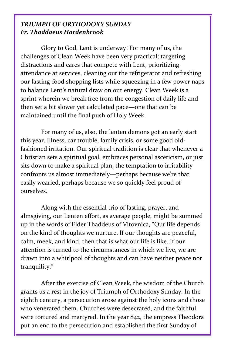#### *TRIUMPH OF ORTHODOXY SUNDAY Fr. Thaddaeus Hardenbrook*

Glory to God, Lent is underway! For many of us, the challenges of Clean Week have been very practical: targeting distractions and cares that compete with Lent, prioritizing attendance at services, cleaning out the refrigerator and refreshing our fasting-food shopping lists while squeezing in a few power naps to balance Lent's natural draw on our energy. Clean Week is a sprint wherein we break free from the congestion of daily life and then set a bit slower yet calculated pace—one that can be maintained until the final push of Holy Week.

For many of us, also, the lenten demons got an early start this year. Illness, car trouble, family crisis, or some good oldfashioned irritation. Our spiritual tradition is clear that whenever a Christian sets a spiritual goal, embraces personal asceticism, or just sits down to make a spiritual plan, the temptation to irritability confronts us almost immediately—perhaps because we're that easily wearied, perhaps because we so quickly feel proud of ourselves.

Along with the essential trio of fasting, prayer, and almsgiving, our Lenten effort, as average people, might be summed up in the words of Elder Thaddeus of Vitovnica, "Our life depends on the kind of thoughts we nurture. If our thoughts are peaceful, calm, meek, and kind, then that is what our life is like. If our attention is turned to the circumstances in which we live, we are drawn into a whirlpool of thoughts and can have neither peace nor tranquility."

After the exercise of Clean Week, the wisdom of the Church grants us a rest in the joy of Triumph of Orthodoxy Sunday. In the eighth century, a persecution arose against the holy icons and those who venerated them. Churches were desecrated, and the faithful were tortured and martyred. In the year 842, the empress Theodora put an end to the persecution and established the first Sunday of